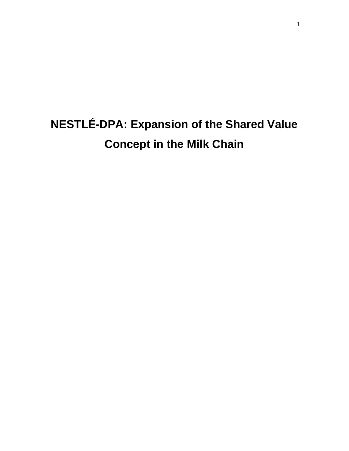# **NESTLÉ-DPA: Expansion of the Shared Value Concept in the Milk Chain**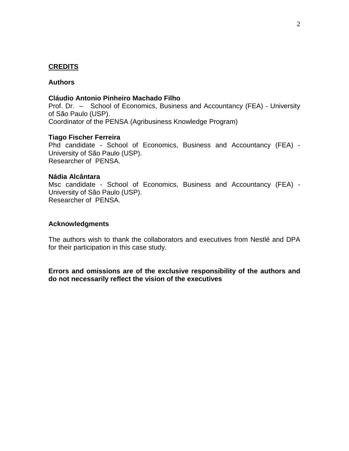# **CREDITS**

#### **Authors**

#### **Cláudio Antonio Pinheiro Machado Filho**

Prof. Dr. – School of Economics, Business and Accountancy (FEA) - University of São Paulo (USP). Coordinator of the PENSA (Agribusiness Knowledge Program)

#### **Tiago Fischer Ferreira**

Phd candidate - School of Economics, Business and Accountancy (FEA) - University of São Paulo (USP). Researcher of PENSA.

#### **Nádia Alcântara**

Msc candidate - School of Economics, Business and Accountancy (FEA) - University of São Paulo (USP). Researcher of PENSA.

#### **Acknowledgments**

The authors wish to thank the collaborators and executives from Nestlé and DPA for their participation in this case study.

**Errors and omissions are of the exclusive responsibility of the authors and do not necessarily reflect the vision of the executives**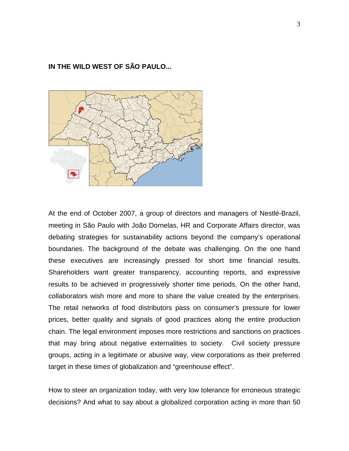# **IN THE WILD WEST OF SÃO PAULO...**



At the end of October 2007, a group of directors and managers of Nestlé-Brazil, meeting in São Paulo with João Dornelas, HR and Corporate Affairs director, was debating strategies for sustainability actions beyond the company's operational boundaries. The background of the debate was challenging. On the one hand these executives are increasingly pressed for short time financial results. Shareholders want greater transparency, accounting reports, and expressive results to be achieved in progressively shorter time periods. On the other hand, collaborators wish more and more to share the value created by the enterprises. The retail networks of food distributors pass on consumer's pressure for lower prices, better quality and signals of good practices along the entire production chain. The legal environment imposes more restrictions and sanctions on practices that may bring about negative externalities to society. Civil society pressure groups, acting in a legitimate or abusive way, view corporations as their preferred target in these times of globalization and "greenhouse effect".

How to steer an organization today, with very low tolerance for erroneous strategic decisions? And what to say about a globalized corporation acting in more than 50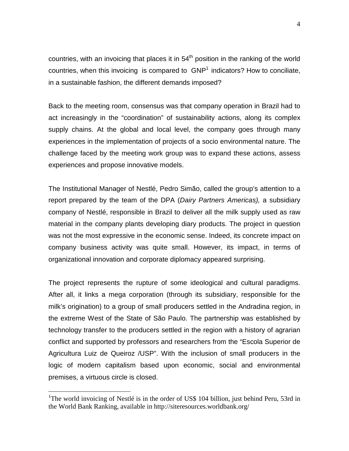countries, with an invoicing that places it in  $54<sup>th</sup>$  position in the ranking of the world countries, when this invoicing is compared to  $GNP<sup>1</sup>$  indicators? How to conciliate, in a sustainable fashion, the different demands imposed?

Back to the meeting room, consensus was that company operation in Brazil had to act increasingly in the "coordination" of sustainability actions, along its complex supply chains. At the global and local level, the company goes through many experiences in the implementation of projects of a socio environmental nature. The challenge faced by the meeting work group was to expand these actions, assess experiences and propose innovative models.

The Institutional Manager of Nestlé, Pedro Simão, called the group's attention to a report prepared by the team of the DPA (Dairy Partners Americas), a subsidiary company of Nestlé, responsible in Brazil to deliver all the milk supply used as raw material in the company plants developing diary products. The project in question was not the most expressive in the economic sense. Indeed, its concrete impact on company business activity was quite small. However, its impact, in terms of organizational innovation and corporate diplomacy appeared surprising.

The project represents the rupture of some ideological and cultural paradigms. After all, it links a mega corporation (through its subsidiary, responsible for the milk's origination) to a group of small producers settled in the Andradina region, in the extreme West of the State of São Paulo. The partnership was established by technology transfer to the producers settled in the region with a history of agrarian conflict and supported by professors and researchers from the "Escola Superior de Agricultura Luiz de Queiroz /USP". With the inclusion of small producers in the logic of modern capitalism based upon economic, social and environmental premises, a virtuous circle is closed.

<sup>&</sup>lt;sup>1</sup>The world invoicing of Nestlé is in the order of US\$ 104 billion, just behind Peru, 53rd in the World Bank Ranking, available in http://siteresources.worldbank.org/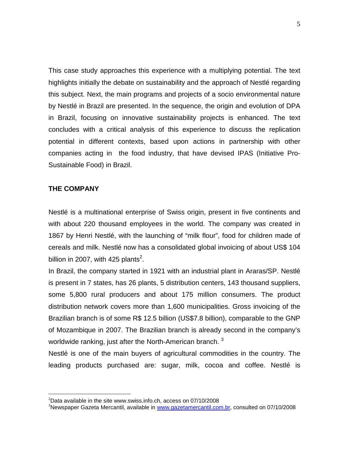This case study approaches this experience with a multiplying potential. The text highlights initially the debate on sustainability and the approach of Nestlé regarding this subject. Next, the main programs and projects of a socio environmental nature by Nestlé in Brazil are presented. In the sequence, the origin and evolution of DPA in Brazil, focusing on innovative sustainability projects is enhanced. The text concludes with a critical analysis of this experience to discuss the replication potential in different contexts, based upon actions in partnership with other companies acting in the food industry, that have devised IPAS (Initiative Pro-Sustainable Food) in Brazil.

#### **THE COMPANY**

 $\overline{a}$ 

Nestlé is a multinational enterprise of Swiss origin, present in five continents and with about 220 thousand employees in the world. The company was created in 1867 by Henri Nestlé, with the launching of "milk flour", food for children made of cereals and milk. Nestlé now has a consolidated global invoicing of about US\$ 104 billion in 2007, with 425 plants<sup>2</sup>.

In Brazil, the company started in 1921 with an industrial plant in Araras/SP. Nestlé is present in 7 states, has 26 plants, 5 distribution centers, 143 thousand suppliers, some 5,800 rural producers and about 175 million consumers. The product distribution network covers more than 1,600 municipalities. Gross invoicing of the Brazilian branch is of some R\$ 12.5 billion (US\$7.8 billion), comparable to the GNP of Mozambique in 2007. The Brazilian branch is already second in the company's worldwide ranking, just after the North-American branch.<sup>3</sup>

Nestlé is one of the main buyers of agricultural commodities in the country. The leading products purchased are: sugar, milk, cocoa and coffee. Nestlé is

 $2$ Data available in the site www.swiss.info.ch, access on 07/10/2008

<sup>&</sup>lt;sup>3</sup>Newspaper Gazeta Mercantil, available in www.gazetamercantil.com.br, consulted on 07/10/2008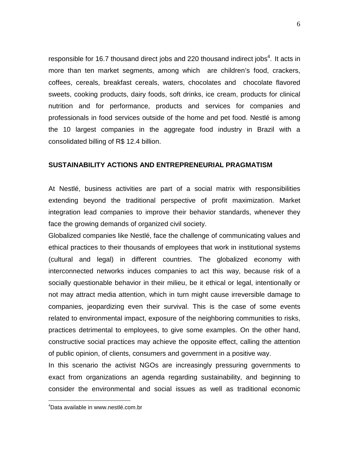responsible for 16.7 thousand direct jobs and 220 thousand indirect jobs<sup>4</sup>. It acts in more than ten market segments, among which are children's food, crackers, coffees, cereals, breakfast cereals, waters, chocolates and chocolate flavored sweets, cooking products, dairy foods, soft drinks, ice cream, products for clinical nutrition and for performance, products and services for companies and professionals in food services outside of the home and pet food. Nestlé is among the 10 largest companies in the aggregate food industry in Brazil with a consolidated billing of R\$ 12.4 billion.

#### **SUSTAINABILITY ACTIONS AND ENTREPRENEURIAL PRAGMATISM**

At Nestlé, business activities are part of a social matrix with responsibilities extending beyond the traditional perspective of profit maximization. Market integration lead companies to improve their behavior standards, whenever they face the growing demands of organized civil society.

Globalized companies like Nestlé, face the challenge of communicating values and ethical practices to their thousands of employees that work in institutional systems (cultural and legal) in different countries. The globalized economy with interconnected networks induces companies to act this way, because risk of a socially questionable behavior in their milieu, be it ethical or legal, intentionally or not may attract media attention, which in turn might cause irreversible damage to companies, jeopardizing even their survival. This is the case of some events related to environmental impact, exposure of the neighboring communities to risks, practices detrimental to employees, to give some examples. On the other hand, constructive social practices may achieve the opposite effect, calling the attention of public opinion, of clients, consumers and government in a positive way.

In this scenario the activist NGOs are increasingly pressuring governments to exact from organizations an agenda regarding sustainability, and beginning to consider the environmental and social issues as well as traditional economic

<sup>4</sup>Data available in www.nestlé.com.br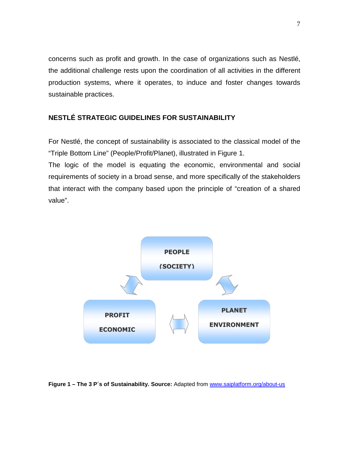concerns such as profit and growth. In the case of organizations such as Nestlé, the additional challenge rests upon the coordination of all activities in the different production systems, where it operates, to induce and foster changes towards sustainable practices.

# **NESTLÉ STRATEGIC GUIDELINES FOR SUSTAINABILITY**

For Nestlé, the concept of sustainability is associated to the classical model of the "Triple Bottom Line" (People/Profit/Planet), illustrated in Figure 1.

The logic of the model is equating the economic, environmental and social requirements of society in a broad sense, and more specifically of the stakeholders that interact with the company based upon the principle of "creation of a shared value".



Figure 1 - The 3 P's of Sustainability. Source: Adapted from www.saiplatform.org/about-us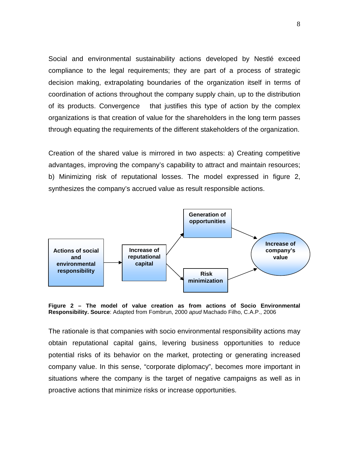Social and environmental sustainability actions developed by Nestlé exceed compliance to the legal requirements; they are part of a process of strategic decision making, extrapolating boundaries of the organization itself in terms of coordination of actions throughout the company supply chain, up to the distribution of its products. Convergence that justifies this type of action by the complex organizations is that creation of value for the shareholders in the long term passes through equating the requirements of the different stakeholders of the organization.

Creation of the shared value is mirrored in two aspects: a) Creating competitive advantages, improving the company's capability to attract and maintain resources; b) Minimizing risk of reputational losses. The model expressed in figure 2, synthesizes the company's accrued value as result responsible actions.



**Figure 2 – The model of value creation as from actions of Socio Environmental Responsibility. Source**: Adapted from Fombrun, 2000 apud Machado Filho, C.A.P., 2006

The rationale is that companies with socio environmental responsibility actions may obtain reputational capital gains, levering business opportunities to reduce potential risks of its behavior on the market, protecting or generating increased company value. In this sense, "corporate diplomacy", becomes more important in situations where the company is the target of negative campaigns as well as in proactive actions that minimize risks or increase opportunities.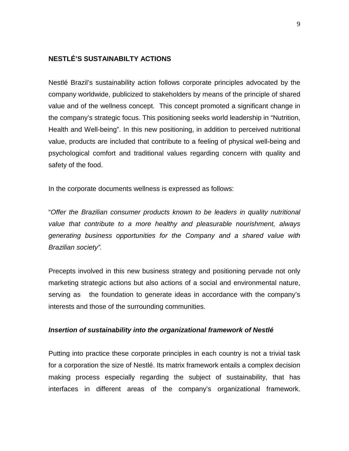# **NESTLÉ'S SUSTAINABILTY ACTIONS**

Nestlé Brazil's sustainability action follows corporate principles advocated by the company worldwide, publicized to stakeholders by means of the principle of shared value and of the wellness concept. This concept promoted a significant change in the company's strategic focus. This positioning seeks world leadership in "Nutrition, Health and Well-being". In this new positioning, in addition to perceived nutritional value, products are included that contribute to a feeling of physical well-being and psychological comfort and traditional values regarding concern with quality and safety of the food.

In the corporate documents wellness is expressed as follows:

"Offer the Brazilian consumer products known to be leaders in quality nutritional value that contribute to a more healthy and pleasurable nourishment, always generating business opportunities for the Company and a shared value with Brazilian society".

Precepts involved in this new business strategy and positioning pervade not only marketing strategic actions but also actions of a social and environmental nature, serving as the foundation to generate ideas in accordance with the company's interests and those of the surrounding communities.

#### **Insertion of sustainability into the organizational framework of Nestlé**

Putting into practice these corporate principles in each country is not a trivial task for a corporation the size of Nestlé. Its matrix framework entails a complex decision making process especially regarding the subject of sustainability, that has interfaces in different areas of the company's organizational framework.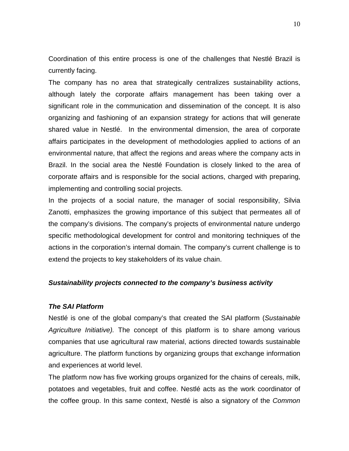Coordination of this entire process is one of the challenges that Nestlé Brazil is currently facing.

The company has no area that strategically centralizes sustainability actions, although lately the corporate affairs management has been taking over a significant role in the communication and dissemination of the concept. It is also organizing and fashioning of an expansion strategy for actions that will generate shared value in Nestlé. In the environmental dimension, the area of corporate affairs participates in the development of methodologies applied to actions of an environmental nature, that affect the regions and areas where the company acts in Brazil. In the social area the Nestlé Foundation is closely linked to the area of corporate affairs and is responsible for the social actions, charged with preparing, implementing and controlling social projects.

In the projects of a social nature, the manager of social responsibility, Silvia Zanotti, emphasizes the growing importance of this subject that permeates all of the company's divisions. The company's projects of environmental nature undergo specific methodological development for control and monitoring techniques of the actions in the corporation's internal domain. The company's current challenge is to extend the projects to key stakeholders of its value chain.

#### **Sustainability projects connected to the company's business activity**

#### **The SAI Platform**

Nestlé is one of the global company's that created the SAI platform (Sustainable Agriculture Initiative). The concept of this platform is to share among various companies that use agricultural raw material, actions directed towards sustainable agriculture. The platform functions by organizing groups that exchange information and experiences at world level.

The platform now has five working groups organized for the chains of cereals, milk, potatoes and vegetables, fruit and coffee. Nestlé acts as the work coordinator of the coffee group. In this same context, Nestlé is also a signatory of the Common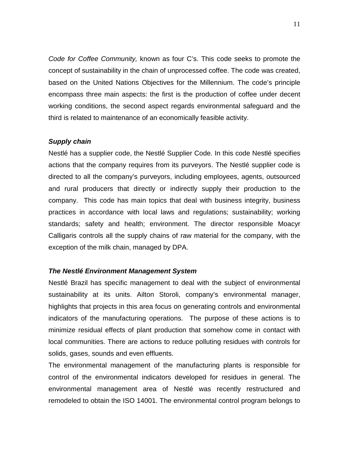Code for Coffee Community, known as four C's. This code seeks to promote the concept of sustainability in the chain of unprocessed coffee. The code was created, based on the United Nations Objectives for the Millennium. The code's principle encompass three main aspects: the first is the production of coffee under decent working conditions, the second aspect regards environmental safeguard and the third is related to maintenance of an economically feasible activity.

#### **Supply chain**

Nestlé has a supplier code, the Nestlé Supplier Code. In this code Nestlé specifies actions that the company requires from its purveyors. The Nestlé supplier code is directed to all the company's purveyors, including employees, agents, outsourced and rural producers that directly or indirectly supply their production to the company. This code has main topics that deal with business integrity, business practices in accordance with local laws and regulations; sustainability; working standards; safety and health; environment. The director responsible Moacyr Calligaris controls all the supply chains of raw material for the company, with the exception of the milk chain, managed by DPA.

#### **The Nestlé Environment Management System**

Nestlé Brazil has specific management to deal with the subject of environmental sustainability at its units. Ailton Storoli, company's environmental manager, highlights that projects in this area focus on generating controls and environmental indicators of the manufacturing operations. The purpose of these actions is to minimize residual effects of plant production that somehow come in contact with local communities. There are actions to reduce polluting residues with controls for solids, gases, sounds and even effluents.

The environmental management of the manufacturing plants is responsible for control of the environmental indicators developed for residues in general. The environmental management area of Nestlé was recently restructured and remodeled to obtain the ISO 14001. The environmental control program belongs to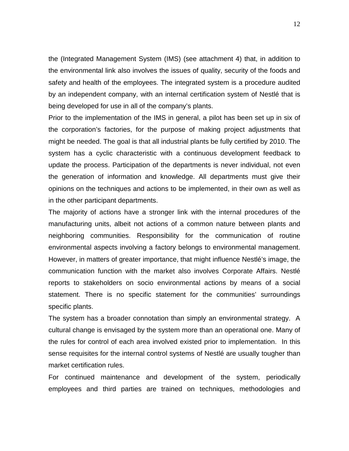the (Integrated Management System (IMS) (see attachment 4) that, in addition to the environmental link also involves the issues of quality, security of the foods and safety and health of the employees. The integrated system is a procedure audited by an independent company, with an internal certification system of Nestlé that is being developed for use in all of the company's plants.

Prior to the implementation of the IMS in general, a pilot has been set up in six of the corporation's factories, for the purpose of making project adjustments that might be needed. The goal is that all industrial plants be fully certified by 2010. The system has a cyclic characteristic with a continuous development feedback to update the process. Participation of the departments is never individual, not even the generation of information and knowledge. All departments must give their opinions on the techniques and actions to be implemented, in their own as well as in the other participant departments.

The majority of actions have a stronger link with the internal procedures of the manufacturing units, albeit not actions of a common nature between plants and neighboring communities. Responsibility for the communication of routine environmental aspects involving a factory belongs to environmental management. However, in matters of greater importance, that might influence Nestlé's image, the communication function with the market also involves Corporate Affairs. Nestlé reports to stakeholders on socio environmental actions by means of a social statement. There is no specific statement for the communities' surroundings specific plants.

The system has a broader connotation than simply an environmental strategy. A cultural change is envisaged by the system more than an operational one. Many of the rules for control of each area involved existed prior to implementation. In this sense requisites for the internal control systems of Nestlé are usually tougher than market certification rules.

For continued maintenance and development of the system, periodically employees and third parties are trained on techniques, methodologies and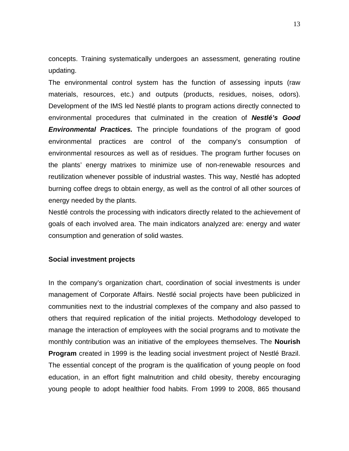concepts. Training systematically undergoes an assessment, generating routine updating.

The environmental control system has the function of assessing inputs (raw materials, resources, etc.) and outputs (products, residues, noises, odors). Development of the IMS led Nestlé plants to program actions directly connected to environmental procedures that culminated in the creation of **Nestlé's Good Environmental Practices.** The principle foundations of the program of good environmental practices are control of the company's consumption of environmental resources as well as of residues. The program further focuses on the plants' energy matrixes to minimize use of non-renewable resources and reutilization whenever possible of industrial wastes. This way, Nestlé has adopted burning coffee dregs to obtain energy, as well as the control of all other sources of energy needed by the plants.

Nestlé controls the processing with indicators directly related to the achievement of goals of each involved area. The main indicators analyzed are: energy and water consumption and generation of solid wastes.

#### **Social investment projects**

In the company's organization chart, coordination of social investments is under management of Corporate Affairs. Nestlé social projects have been publicized in communities next to the industrial complexes of the company and also passed to others that required replication of the initial projects. Methodology developed to manage the interaction of employees with the social programs and to motivate the monthly contribution was an initiative of the employees themselves. The **Nourish Program** created in 1999 is the leading social investment project of Nestlé Brazil. The essential concept of the program is the qualification of young people on food education, in an effort fight malnutrition and child obesity, thereby encouraging young people to adopt healthier food habits. From 1999 to 2008, 865 thousand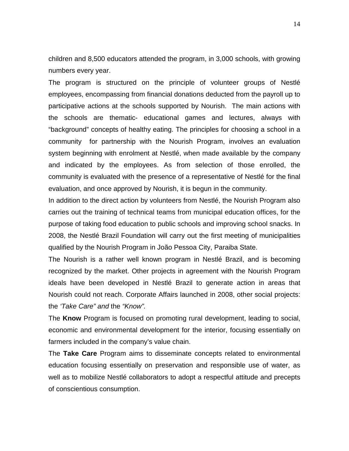children and 8,500 educators attended the program, in 3,000 schools, with growing numbers every year.

The program is structured on the principle of volunteer groups of Nestlé employees, encompassing from financial donations deducted from the payroll up to participative actions at the schools supported by Nourish. The main actions with the schools are thematic- educational games and lectures, always with "background" concepts of healthy eating. The principles for choosing a school in a community for partnership with the Nourish Program, involves an evaluation system beginning with enrolment at Nestlé, when made available by the company and indicated by the employees. As from selection of those enrolled, the community is evaluated with the presence of a representative of Nestlé for the final evaluation, and once approved by Nourish, it is begun in the community.

In addition to the direct action by volunteers from Nestlé, the Nourish Program also carries out the training of technical teams from municipal education offices, for the purpose of taking food education to public schools and improving school snacks. In 2008, the Nestlé Brazil Foundation will carry out the first meeting of municipalities qualified by the Nourish Program in João Pessoa City, Paraiba State.

The Nourish is a rather well known program in Nestlé Brazil, and is becoming recognized by the market. Other projects in agreement with the Nourish Program ideals have been developed in Nestlé Brazil to generate action in areas that Nourish could not reach. Corporate Affairs launched in 2008, other social projects: the 'Take Care" and the "Know".

The **Know** Program is focused on promoting rural development, leading to social, economic and environmental development for the interior, focusing essentially on farmers included in the company's value chain.

The **Take Care** Program aims to disseminate concepts related to environmental education focusing essentially on preservation and responsible use of water, as well as to mobilize Nestlé collaborators to adopt a respectful attitude and precepts of conscientious consumption.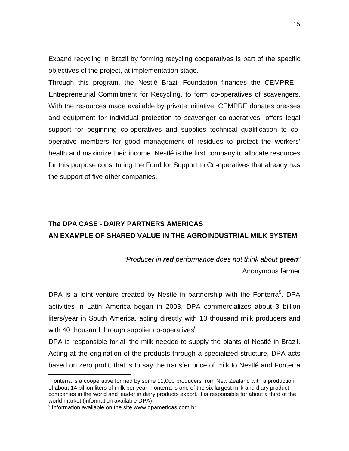Expand recycling in Brazil by forming recycling cooperatives is part of the specific objectives of the project, at implementation stage.

Through this program, the Nestlé Brazil Foundation finances the CEMPRE - Entrepreneurial Commitment for Recycling, to form co-operatives of scavengers. With the resources made available by private initiative, CEMPRE donates presses and equipment for individual protection to scavenger co-operatives, offers legal support for beginning co-operatives and supplies technical qualification to cooperative members for good management of residues to protect the workers' health and maximize their income. Nestlé is the first company to allocate resources for this purpose constituting the Fund for Support to Co-operatives that already has the support of five other companies.

# **The DPA CASE** - **DAIRY PARTNERS AMERICAS AN EXAMPLE OF SHARED VALUE IN THE AGROINDUSTRIAL MILK SYSTEM**

"Producer in **red** performance does not think about **green**" Anonymous farmer

DPA is a joint venture created by Nestlé in partnership with the Fonterra<sup>5</sup>. DPA activities in Latin America began in 2003. DPA commercializes about 3 billion liters/year in South America, acting directly with 13 thousand milk producers and with 40 thousand through supplier co-operatives $6$ 

DPA is responsible for all the milk needed to supply the plants of Nestlé in Brazil. Acting at the origination of the products through a specialized structure, DPA acts based on zero profit, that is to say the transfer price of milk to Nestlé and Fonterra

 $5$ Fonterra is a cooperative formed by some 11,000 producers from New Zealand with a production of about 14 billion liters of milk per year. Fonterra is one of the six largest milk and diary product companies in the world and leader in diary products export. It is responsible for about a third of the world market (information available DPA)

<sup>6</sup> Information available on the site www.dpamericas.com.br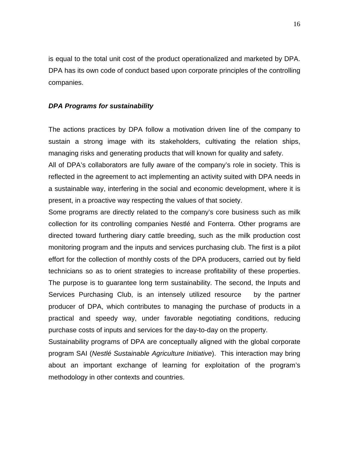is equal to the total unit cost of the product operationalized and marketed by DPA. DPA has its own code of conduct based upon corporate principles of the controlling companies.

#### **DPA Programs for sustainability**

The actions practices by DPA follow a motivation driven line of the company to sustain a strong image with its stakeholders, cultivating the relation ships, managing risks and generating products that will known for quality and safety.

All of DPA's collaborators are fully aware of the company's role in society. This is reflected in the agreement to act implementing an activity suited with DPA needs in a sustainable way, interfering in the social and economic development, where it is present, in a proactive way respecting the values of that society.

Some programs are directly related to the company's core business such as milk collection for its controlling companies Nestlé and Fonterra. Other programs are directed toward furthering diary cattle breeding, such as the milk production cost monitoring program and the inputs and services purchasing club. The first is a pilot effort for the collection of monthly costs of the DPA producers, carried out by field technicians so as to orient strategies to increase profitability of these properties. The purpose is to guarantee long term sustainability. The second, the Inputs and Services Purchasing Club, is an intensely utilized resource by the partner producer of DPA, which contributes to managing the purchase of products in a practical and speedy way, under favorable negotiating conditions, reducing purchase costs of inputs and services for the day-to-day on the property.

Sustainability programs of DPA are conceptually aligned with the global corporate program SAI (Nestlé Sustainable Agriculture Initiative). This interaction may bring about an important exchange of learning for exploitation of the program's methodology in other contexts and countries.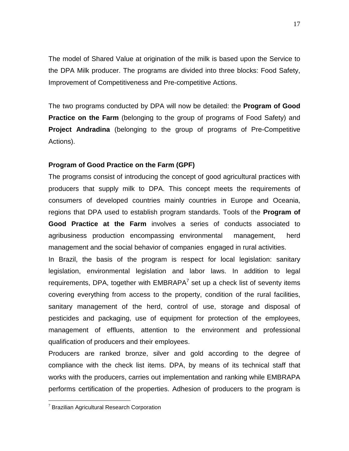The model of Shared Value at origination of the milk is based upon the Service to the DPA Milk producer. The programs are divided into three blocks: Food Safety, Improvement of Competitiveness and Pre-competitive Actions.

The two programs conducted by DPA will now be detailed: the **Program of Good Practice on the Farm** (belonging to the group of programs of Food Safety) and **Project Andradina** (belonging to the group of programs of Pre-Competitive Actions).

### **Program of Good Practice on the Farm (GPF)**

The programs consist of introducing the concept of good agricultural practices with producers that supply milk to DPA. This concept meets the requirements of consumers of developed countries mainly countries in Europe and Oceania, regions that DPA used to establish program standards. Tools of the **Program of Good Practice at the Farm** involves a series of conducts associated to agribusiness production encompassing environmental management, herd management and the social behavior of companies engaged in rural activities.

In Brazil, the basis of the program is respect for local legislation: sanitary legislation, environmental legislation and labor laws. In addition to legal requirements, DPA, together with  $EMBRAPA<sup>7</sup>$  set up a check list of seventy items covering everything from access to the property, condition of the rural facilities, sanitary management of the herd, control of use, storage and disposal of pesticides and packaging, use of equipment for protection of the employees, management of effluents, attention to the environment and professional qualification of producers and their employees.

Producers are ranked bronze, silver and gold according to the degree of compliance with the check list items. DPA, by means of its technical staff that works with the producers, carries out implementation and ranking while EMBRAPA performs certification of the properties. Adhesion of producers to the program is

 $7$  Brazilian Agricultural Research Corporation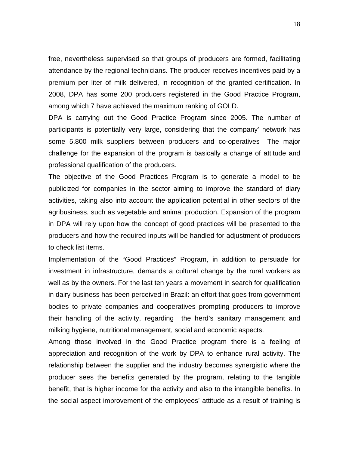free, nevertheless supervised so that groups of producers are formed, facilitating attendance by the regional technicians. The producer receives incentives paid by a premium per liter of milk delivered, in recognition of the granted certification. In 2008, DPA has some 200 producers registered in the Good Practice Program, among which 7 have achieved the maximum ranking of GOLD.

DPA is carrying out the Good Practice Program since 2005. The number of participants is potentially very large, considering that the company' network has some 5,800 milk suppliers between producers and co-operatives The major challenge for the expansion of the program is basically a change of attitude and professional qualification of the producers.

The objective of the Good Practices Program is to generate a model to be publicized for companies in the sector aiming to improve the standard of diary activities, taking also into account the application potential in other sectors of the agribusiness, such as vegetable and animal production. Expansion of the program in DPA will rely upon how the concept of good practices will be presented to the producers and how the required inputs will be handled for adjustment of producers to check list items.

Implementation of the "Good Practices" Program, in addition to persuade for investment in infrastructure, demands a cultural change by the rural workers as well as by the owners. For the last ten years a movement in search for qualification in dairy business has been perceived in Brazil: an effort that goes from government bodies to private companies and cooperatives prompting producers to improve their handling of the activity, regarding the herd's sanitary management and milking hygiene, nutritional management, social and economic aspects.

Among those involved in the Good Practice program there is a feeling of appreciation and recognition of the work by DPA to enhance rural activity. The relationship between the supplier and the industry becomes synergistic where the producer sees the benefits generated by the program, relating to the tangible benefit, that is higher income for the activity and also to the intangible benefits. In the social aspect improvement of the employees' attitude as a result of training is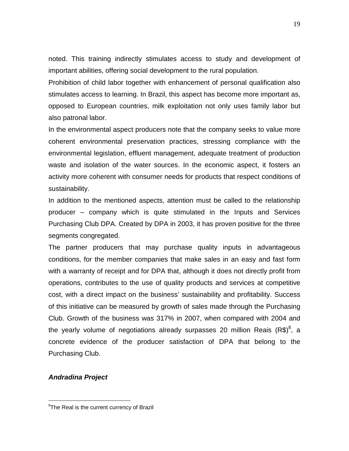noted. This training indirectly stimulates access to study and development of important abilities, offering social development to the rural population.

Prohibition of child labor together with enhancement of personal qualification also stimulates access to learning. In Brazil, this aspect has become more important as, opposed to European countries, milk exploitation not only uses family labor but also patronal labor.

In the environmental aspect producers note that the company seeks to value more coherent environmental preservation practices, stressing compliance with the environmental legislation, effluent management, adequate treatment of production waste and isolation of the water sources. In the economic aspect, it fosters an activity more coherent with consumer needs for products that respect conditions of sustainability.

In addition to the mentioned aspects, attention must be called to the relationship producer – company which is quite stimulated in the Inputs and Services Purchasing Club DPA. Created by DPA in 2003, it has proven positive for the three segments congregated.

The partner producers that may purchase quality inputs in advantageous conditions, for the member companies that make sales in an easy and fast form with a warranty of receipt and for DPA that, although it does not directly profit from operations, contributes to the use of quality products and services at competitive cost, with a direct impact on the business' sustainability and profitability. Success of this initiative can be measured by growth of sales made through the Purchasing Club. Growth of the business was 317% in 2007, when compared with 2004 and the yearly volume of negotiations already surpasses 20 million Reais (R\$)<sup>8</sup>, a concrete evidence of the producer satisfaction of DPA that belong to the Purchasing Club.

#### **Andradina Project**

 ${}^{8}$ The Real is the current currency of Brazil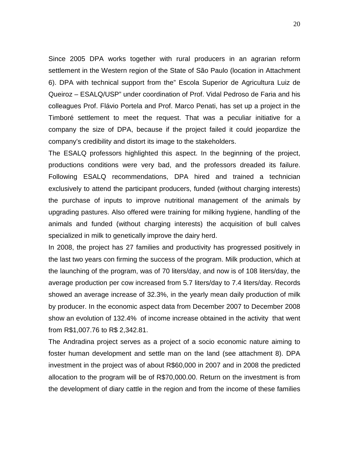Since 2005 DPA works together with rural producers in an agrarian reform settlement in the Western region of the State of São Paulo (location in Attachment 6). DPA with technical support from the" Escola Superior de Agricultura Luiz de Queiroz – ESALQ/USP" under coordination of Prof. Vidal Pedroso de Faria and his colleagues Prof. Flávio Portela and Prof. Marco Penati, has set up a project in the Timboré settlement to meet the request. That was a peculiar initiative for a company the size of DPA, because if the project failed it could jeopardize the company's credibility and distort its image to the stakeholders.

The ESALQ professors highlighted this aspect. In the beginning of the project, productions conditions were very bad, and the professors dreaded its failure. Following ESALQ recommendations, DPA hired and trained a technician exclusively to attend the participant producers, funded (without charging interests) the purchase of inputs to improve nutritional management of the animals by upgrading pastures. Also offered were training for milking hygiene, handling of the animals and funded (without charging interests) the acquisition of bull calves specialized in milk to genetically improve the dairy herd.

In 2008, the project has 27 families and productivity has progressed positively in the last two years con firming the success of the program. Milk production, which at the launching of the program, was of 70 liters/day, and now is of 108 liters/day, the average production per cow increased from 5.7 liters/day to 7.4 liters/day. Records showed an average increase of 32.3%, in the yearly mean daily production of milk by producer. In the economic aspect data from December 2007 to December 2008 show an evolution of 132.4% of income increase obtained in the activity that went from R\$1,007.76 to R\$ 2,342.81.

The Andradina project serves as a project of a socio economic nature aiming to foster human development and settle man on the land (see attachment 8). DPA investment in the project was of about R\$60,000 in 2007 and in 2008 the predicted allocation to the program will be of R\$70,000.00. Return on the investment is from the development of diary cattle in the region and from the income of these families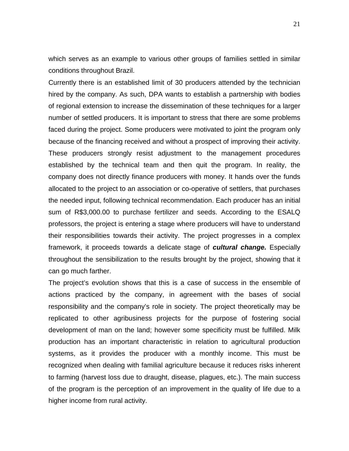which serves as an example to various other groups of families settled in similar conditions throughout Brazil.

Currently there is an established limit of 30 producers attended by the technician hired by the company. As such, DPA wants to establish a partnership with bodies of regional extension to increase the dissemination of these techniques for a larger number of settled producers. It is important to stress that there are some problems faced during the project. Some producers were motivated to joint the program only because of the financing received and without a prospect of improving their activity. These producers strongly resist adjustment to the management procedures established by the technical team and then quit the program. In reality, the company does not directly finance producers with money. It hands over the funds allocated to the project to an association or co-operative of settlers, that purchases the needed input, following technical recommendation. Each producer has an initial sum of R\$3,000.00 to purchase fertilizer and seeds. According to the ESALQ professors, the project is entering a stage where producers will have to understand their responsibilities towards their activity. The project progresses in a complex framework, it proceeds towards a delicate stage of **cultural change.** Especially throughout the sensibilization to the results brought by the project, showing that it can go much farther.

The project's evolution shows that this is a case of success in the ensemble of actions practiced by the company, in agreement with the bases of social responsibility and the company's role in society. The project theoretically may be replicated to other agribusiness projects for the purpose of fostering social development of man on the land; however some specificity must be fulfilled. Milk production has an important characteristic in relation to agricultural production systems, as it provides the producer with a monthly income. This must be recognized when dealing with familial agriculture because it reduces risks inherent to farming (harvest loss due to draught, disease, plagues, etc.). The main success of the program is the perception of an improvement in the quality of life due to a higher income from rural activity.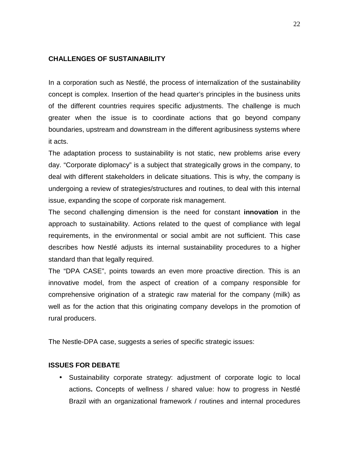#### **CHALLENGES OF SUSTAINABILITY**

In a corporation such as Nestlé, the process of internalization of the sustainability concept is complex. Insertion of the head quarter's principles in the business units of the different countries requires specific adjustments. The challenge is much greater when the issue is to coordinate actions that go beyond company boundaries, upstream and downstream in the different agribusiness systems where it acts.

The adaptation process to sustainability is not static, new problems arise every day. "Corporate diplomacy" is a subject that strategically grows in the company, to deal with different stakeholders in delicate situations. This is why, the company is undergoing a review of strategies/structures and routines, to deal with this internal issue, expanding the scope of corporate risk management.

The second challenging dimension is the need for constant **innovation** in the approach to sustainability. Actions related to the quest of compliance with legal requirements, in the environmental or social ambit are not sufficient. This case describes how Nestlé adjusts its internal sustainability procedures to a higher standard than that legally required.

The "DPA CASE", points towards an even more proactive direction. This is an innovative model, from the aspect of creation of a company responsible for comprehensive origination of a strategic raw material for the company (milk) as well as for the action that this originating company develops in the promotion of rural producers.

The Nestle-DPA case, suggests a series of specific strategic issues:

#### **ISSUES FOR DEBATE**

• Sustainability corporate strategy: adjustment of corporate logic to local actions**.** Concepts of wellness / shared value: how to progress in Nestlé Brazil with an organizational framework / routines and internal procedures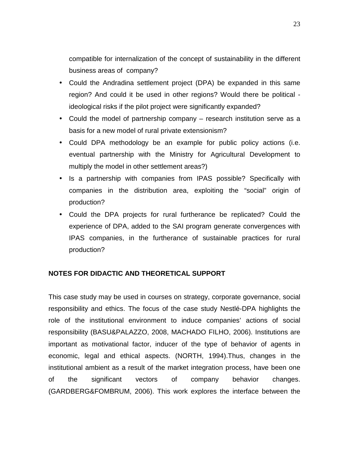compatible for internalization of the concept of sustainability in the different business areas of company?

- Could the Andradina settlement project (DPA) be expanded in this same region? And could it be used in other regions? Would there be political ideological risks if the pilot project were significantly expanded?
- Could the model of partnership company research institution serve as a basis for a new model of rural private extensionism?
- Could DPA methodology be an example for public policy actions (i.e. eventual partnership with the Ministry for Agricultural Development to multiply the model in other settlement areas?)
- Is a partnership with companies from IPAS possible? Specifically with companies in the distribution area, exploiting the "social" origin of production?
- Could the DPA projects for rural furtherance be replicated? Could the experience of DPA, added to the SAI program generate convergences with IPAS companies, in the furtherance of sustainable practices for rural production?

# **NOTES FOR DIDACTIC AND THEORETICAL SUPPORT**

This case study may be used in courses on strategy, corporate governance, social responsibility and ethics. The focus of the case study Nestlé-DPA highlights the role of the institutional environment to induce companies' actions of social responsibility (BASU&PALAZZO, 2008, MACHADO FILHO, 2006). Institutions are important as motivational factor, inducer of the type of behavior of agents in economic, legal and ethical aspects. (NORTH, 1994).Thus, changes in the institutional ambient as a result of the market integration process, have been one of the significant vectors of company behavior changes. (GARDBERG&FOMBRUM, 2006). This work explores the interface between the